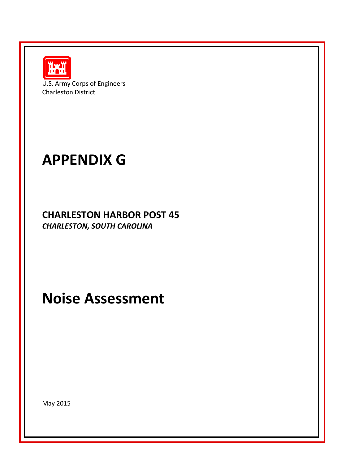

U.S. Army Corps of Engineers Charleston District

# **APPENDIX G**

**CHARLESTON HARBOR POST 45** *CHARLESTON, SOUTH CAROLINA*

**Noise Assessment**

May 2015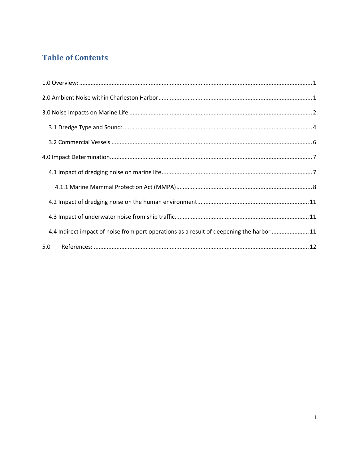## **Table of Contents**

| 4.4 Indirect impact of noise from port operations as a result of deepening the harbor 11 |
|------------------------------------------------------------------------------------------|
| 5.0                                                                                      |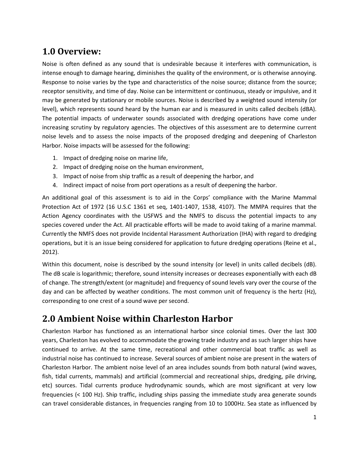## <span id="page-2-0"></span>**1.0 Overview:**

Noise is often defined as any sound that is undesirable because it interferes with communication, is intense enough to damage hearing, diminishes the quality of the environment, or is otherwise annoying. Response to noise varies by the type and characteristics of the noise source; distance from the source; receptor sensitivity, and time of day. Noise can be intermittent or continuous, steady or impulsive, and it may be generated by stationary or mobile sources. Noise is described by a weighted sound intensity (or level), which represents sound heard by the human ear and is measured in units called decibels (dBA). The potential impacts of underwater sounds associated with dredging operations have come under increasing scrutiny by regulatory agencies. The objectives of this assessment are to determine current noise levels and to assess the noise impacts of the proposed dredging and deepening of Charleston Harbor. Noise impacts will be assessed for the following:

- 1. Impact of dredging noise on marine life,
- 2. Impact of dredging noise on the human environment,
- 3. Impact of noise from ship traffic as a result of deepening the harbor, and
- 4. Indirect impact of noise from port operations as a result of deepening the harbor.

An additional goal of this assessment is to aid in the Corps' compliance with the Marine Mammal Protection Act of 1972 (16 U.S.C 1361 et seq, 1401-1407, 1538, 4107). The MMPA requires that the Action Agency coordinates with the USFWS and the NMFS to discuss the potential impacts to any species covered under the Act. All practicable efforts will be made to avoid taking of a marine mammal. Currently the NMFS does not provide Incidental Harassment Authorization (IHA) with regard to dredging operations, but it is an issue being considered for application to future dredging operations (Reine et al., 2012).

Within this document, noise is described by the sound intensity (or level) in units called decibels (dB). The dB scale is logarithmic; therefore, sound intensity increases or decreases exponentially with each dB of change. The strength/extent (or magnitude) and frequency of sound levels vary over the course of the day and can be affected by weather conditions. The most common unit of frequency is the hertz (Hz), corresponding to one crest of a sound wave per second.

## <span id="page-2-1"></span>**2.0 Ambient Noise within Charleston Harbor**

Charleston Harbor has functioned as an international harbor since colonial times. Over the last 300 years, Charleston has evolved to accommodate the growing trade industry and as such larger ships have continued to arrive. At the same time, recreational and other commercial boat traffic as well as industrial noise has continued to increase. Several sources of ambient noise are present in the waters of Charleston Harbor. The ambient noise level of an area includes sounds from both natural (wind waves, fish, tidal currents, mammals) and artificial (commercial and recreational ships, dredging, pile driving, etc) sources. Tidal currents produce hydrodynamic sounds, which are most significant at very low frequencies (< 100 Hz). Ship traffic, including ships passing the immediate study area generate sounds can travel considerable distances, in frequencies ranging from 10 to 1000Hz. Sea state as influenced by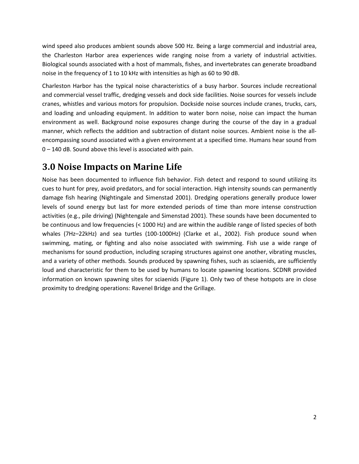wind speed also produces ambient sounds above 500 Hz. Being a large commercial and industrial area, the Charleston Harbor area experiences wide ranging noise from a variety of industrial activities. Biological sounds associated with a host of mammals, fishes, and invertebrates can generate broadband noise in the frequency of 1 to 10 kHz with intensities as high as 60 to 90 dB.

Charleston Harbor has the typical noise characteristics of a busy harbor. Sources include recreational and commercial vessel traffic, dredging vessels and dock side facilities. Noise sources for vessels include cranes, whistles and various motors for propulsion. Dockside noise sources include cranes, trucks, cars, and loading and unloading equipment. In addition to water born noise, noise can impact the human environment as well. Background noise exposures change during the course of the day in a gradual manner, which reflects the addition and subtraction of distant noise sources. Ambient noise is the allencompassing sound associated with a given environment at a specified time. Humans hear sound from 0 – 140 dB. Sound above this level is associated with pain.

## <span id="page-3-0"></span>**3.0 Noise Impacts on Marine Life**

Noise has been documented to influence fish behavior. Fish detect and respond to sound utilizing its cues to hunt for prey, avoid predators, and for social interaction. High intensity sounds can permanently damage fish hearing (Nightingale and Simenstad 2001). Dredging operations generally produce lower levels of sound energy but last for more extended periods of time than more intense construction activities (e.g., pile driving) (Nightengale and Simenstad 2001). These sounds have been documented to be continuous and low frequencies (< 1000 Hz) and are within the audible range of listed species of both whales (7Hz–22kHz) and sea turtles (100-1000Hz) (Clarke et al., 2002). Fish produce sound when swimming, mating, or fighting and also noise associated with swimming. Fish use a wide range of mechanisms for sound production, including scraping structures against one another, vibrating muscles, and a variety of other methods. Sounds produced by spawning fishes, such as sciaenids, are sufficiently loud and characteristic for them to be used by humans to locate spawning locations. SCDNR provided information on known spawning sites for sciaenids (Figure 1). Only two of these hotspots are in close proximity to dredging operations: Ravenel Bridge and the Grillage.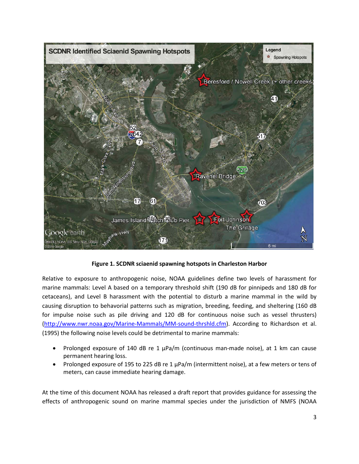

**Figure 1. SCDNR sciaenid spawning hotspots in Charleston Harbor**

Relative to exposure to anthropogenic noise, NOAA guidelines define two levels of harassment for marine mammals: Level A based on a temporary threshold shift (190 dB for pinnipeds and 180 dB for cetaceans), and Level B harassment with the potential to disturb a marine mammal in the wild by causing disruption to behavorial patterns such as migration, breeding, feeding, and sheltering (160 dB for impulse noise such as pile driving and 120 dB for continuous noise such as vessel thrusters) [\(http://www.nwr.noaa.gov/Marine-Mammals/MM-sound-thrshld.cfm\)](http://www.nwr.noaa.gov/Marine-Mammals/MM-sound-thrshld.cfm). According to Richardson et al. (1995) the following noise levels could be detrimental to marine mammals:

- Prolonged exposure of 140 dB re 1  $\mu$ Pa/m (continuous man-made noise), at 1 km can cause permanent hearing loss.
- Prolonged exposure of 195 to 225 dB re 1 µPa/m (intermittent noise), at a few meters or tens of meters, can cause immediate hearing damage.

At the time of this document NOAA has released a draft report that provides guidance for assessing the effects of anthropogenic sound on marine mammal species under the jurisdiction of NMFS (NOAA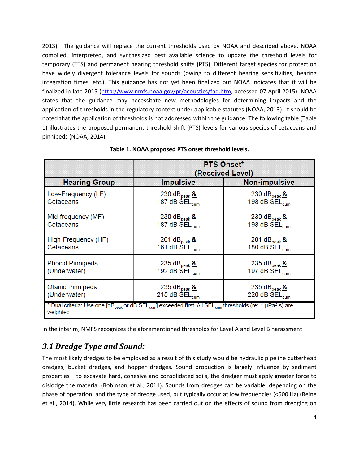2013). The guidance will replace the current thresholds used by NOAA and described above. NOAA compiled, interpreted, and synthesized best available science to update the threshold levels for temporary (TTS) and permanent hearing threshold shifts (PTS). Different target species for protection have widely divergent tolerance levels for sounds (owing to different hearing sensitivities, hearing integration times, etc.). This guidance has not yet been finalized but NOAA indicates that it will be finalized in late 2015 [\(http://www.nmfs.noaa.gov/pr/acoustics/faq.htm,](http://www.nmfs.noaa.gov/pr/acoustics/faq.htm) accessed 07 April 2015). NOAA states that the guidance may necessitate new methodologies for determining impacts and the application of thresholds in the regulatory context under applicable statutes (NOAA, 2013). It should be noted that the application of thresholds is not addressed within the guidance. The following table (Table 1) illustrates the proposed permanent threshold shift (PTS) levels for various species of cetaceans and pinnipeds (NOAA, 2014).

|                                                                                                                                                                        | <b>PTS Onset*</b><br>(Received Level) |                                      |  |
|------------------------------------------------------------------------------------------------------------------------------------------------------------------------|---------------------------------------|--------------------------------------|--|
| <b>Hearing Group</b>                                                                                                                                                   | <b>Impulsive</b>                      | <b>Non-impulsive</b>                 |  |
| Low-Frequency (LF)                                                                                                                                                     | 230 dB $_{\rm peak}$ &                | 230 dB $_{\text{peak}}$ &            |  |
| Cetaceans                                                                                                                                                              | 187 dB SEL <sub>cum</sub>             | 198 dB SEL <sub>cum</sub>            |  |
| Mid-frequency (MF)                                                                                                                                                     | 230 dB $_{\rm peak}$ &                | 230 dB $_{\text{peak}}$ &            |  |
| Cetaceans                                                                                                                                                              | 187 dB SEL <sub>cum</sub>             | 198 dB SEL <sub>cum</sub>            |  |
| High-Frequency (HF)                                                                                                                                                    | 201 dB $_{\rm peak}$ &                | 201 dB $_{\text{peak}}$ &            |  |
| Cetaceans                                                                                                                                                              | 161 dB SEL <sub>cum</sub>             | 180 dB SEL <sub>cum</sub>            |  |
| <b>Phocid Pinnipeds</b>                                                                                                                                                | 235 $dB_{peak}$ &                     | 235 $dB_{peak}$ &                    |  |
| (Underwater)                                                                                                                                                           | 192 dB SEL <sub>cum</sub>             | 197 dB SEL <sub>cum</sub>            |  |
| <b>Otariid Pinnipeds</b>                                                                                                                                               | 235 $dB_{peak}$ &                     | 235 d $B_{\rm peak}$ $\underline{8}$ |  |
| (Underwater)                                                                                                                                                           | 215 dB $\text{SEL}_{\text{cum}}$      | 220 dB SEL <sub>cum</sub>            |  |
| * Dual criteria: Use one [dB <sub>peak</sub> or dB SEL <sub>cum</sub> ] exceeded first. All SEL <sub>cum</sub> thresholds (re: 1 µPa <sup>2</sup> -s) are<br>weighted. |                                       |                                      |  |

#### **Table 1. NOAA proposed PTS onset threshold levels.**

In the interim, NMFS recognizes the aforementioned thresholds for Level A and Level B harassment

#### <span id="page-5-0"></span>*3.1 Dredge Type and Sound:*

The most likely dredges to be employed as a result of this study would be hydraulic pipeline cutterhead dredges, bucket dredges, and hopper dredges. Sound production is largely influence by sediment properties – to excavate hard, cohesive and consolidated soils, the dredger must apply greater force to dislodge the material (Robinson et al., 2011). Sounds from dredges can be variable, depending on the phase of operation, and the type of dredge used, but typically occur at low frequencies (<500 Hz) (Reine et al., 2014). While very little research has been carried out on the effects of sound from dredging on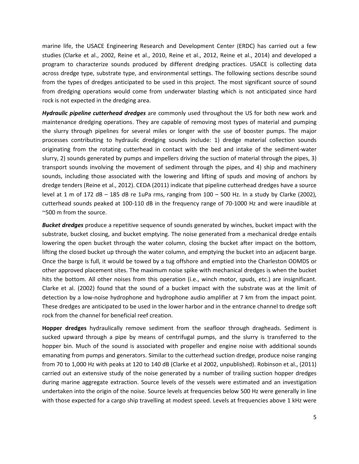marine life, the USACE Engineering Research and Development Center (ERDC) has carried out a few studies (Clarke et al., 2002, Reine et al., 2010, Reine et al., 2012, Reine et al., 2014) and developed a program to characterize sounds produced by different dredging practices. USACE is collecting data across dredge type, substrate type, and environmental settings. The following sections describe sound from the types of dredges anticipated to be used in this project. The most significant source of sound from dredging operations would come from underwater blasting which is not anticipated since hard rock is not expected in the dredging area.

*Hydraulic pipeline cutterhead dredges* are commonly used throughout the US for both new work and maintenance dredging operations. They are capable of removing most types of material and pumping the slurry through pipelines for several miles or longer with the use of booster pumps. The major processes contributing to hydraulic dredging sounds include: 1) dredge material collection sounds originating from the rotating cutterhead in contact with the bed and intake of the sediment-water slurry, 2) sounds generated by pumps and impellers driving the suction of material through the pipes, 3) transport sounds involving the movement of sediment through the pipes, and 4) ship and machinery sounds, including those associated with the lowering and lifting of spuds and moving of anchors by dredge tenders (Reine et al., 2012). CEDA (2011) indicate that pipeline cutterhead dredges have a source level at 1 m of 172 dB – 185 dB re 1uPa rms, ranging from  $100 - 500$  Hz. In a study by Clarke (2002), cutterhead sounds peaked at 100-110 dB in the frequency range of 70-1000 Hz and were inaudible at ~500 m from the source.

*Bucket dredges* produce a repetitive sequence of sounds generated by winches, bucket impact with the substrate, bucket closing, and bucket emptying. The noise generated from a mechanical dredge entails lowering the open bucket through the water column, closing the bucket after impact on the bottom, lifting the closed bucket up through the water column, and emptying the bucket into an adjacent barge. Once the barge is full, it would be towed by a tug offshore and emptied into the Charleston ODMDS or other approved placement sites. The maximum noise spike with mechanical dredges is when the bucket hits the bottom. All other noises from this operation (i.e., winch motor, spuds, etc.) are insignificant. Clarke et al. (2002) found that the sound of a bucket impact with the substrate was at the limit of detection by a low-noise hydrophone and hydrophone audio amplifier at 7 km from the impact point. These dredges are anticipated to be used in the lower harbor and in the entrance channel to dredge soft rock from the channel for beneficial reef creation.

**Hopper dredges** hydraulically remove sediment from the seafloor through dragheads. Sediment is sucked upward through a pipe by means of centrifugal pumps, and the slurry is transferred to the hopper bin. Much of the sound is associated with propeller and engine noise with additional sounds emanating from pumps and generators. Similar to the cutterhead suction dredge, produce noise ranging from 70 to 1,000 Hz with peaks at 120 to 140 dB (Clarke et al 2002, unpublished). Robinson et al., (2011) carried out an extensive study of the noise generated by a number of trailing suction hopper dredges during marine aggregate extraction. Source levels of the vessels were estimated and an investigation undertaken into the origin of the noise. Source levels at frequencies below 500 Hz were generally in line with those expected for a cargo ship travelling at modest speed. Levels at frequencies above 1 kHz were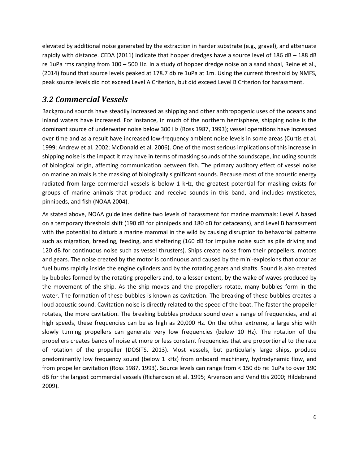elevated by additional noise generated by the extraction in harder substrate (e.g., gravel), and attenuate rapidly with distance. CEDA (2011) indicate that hopper dredges have a source level of 186 dB – 188 dB re 1uPa rms ranging from 100 – 500 Hz. In a study of hopper dredge noise on a sand shoal, Reine et al., (2014) found that source levels peaked at 178.7 db re 1uPa at 1m. Using the current threshold by NMFS, peak source levels did not exceed Level A Criterion, but did exceed Level B Criterion for harassment.

## <span id="page-7-0"></span>*3.2 Commercial Vessels*

Background sounds have steadily increased as shipping and other anthropogenic uses of the oceans and inland waters have increased. For instance, in much of the northern hemisphere, shipping noise is the dominant source of underwater noise below 300 Hz (Ross 1987, 1993); vessel operations have increased over time and as a result have increased low-frequency ambient noise levels in some areas (Curtis et al. 1999; Andrew et al. 2002; McDonald et al. 2006). One of the most serious implications of this increase in shipping noise is the impact it may have in terms of masking sounds of the soundscape, including sounds of biological origin, affecting communication between fish. The primary auditory effect of vessel noise on marine animals is the masking of biologically significant sounds. Because most of the acoustic energy radiated from large commercial vessels is below 1 kHz, the greatest potential for masking exists for groups of marine animals that produce and receive sounds in this band, and includes mysticetes, pinnipeds, and fish (NOAA 2004).

As stated above, NOAA guidelines define two levels of harassment for marine mammals: Level A based on a temporary threshold shift (190 dB for pinnipeds and 180 dB for cetaceans), and Level B harassment with the potential to disturb a marine mammal in the wild by causing disruption to behavorial patterns such as migration, breeding, feeding, and sheltering (160 dB for impulse noise such as pile driving and 120 dB for continuous noise such as vessel thrusters). Ships create noise from their propellers, motors and gears. The noise created by the motor is continuous and caused by the mini-explosions that occur as fuel burns rapidly inside the engine cylinders and by the rotating gears and shafts. Sound is also created by bubbles formed by the rotating propellers and, to a lesser extent, by the wake of waves produced by the movement of the ship. As the ship moves and the propellers rotate, many bubbles form in the water. The formation of these bubbles is known as cavitation. The breaking of these bubbles creates a loud acoustic sound. Cavitation noise is directly related to the speed of the boat. The faster the propeller rotates, the more cavitation. The breaking bubbles produce sound over a range of frequencies, and at high speeds, these frequencies can be as high as 20,000 Hz. On the other extreme, a large ship with slowly turning propellers can generate very low frequencies (below 10 Hz). The rotation of the propellers creates bands of noise at more or less constant frequencies that are proportional to the rate of rotation of the propeller (DOSITS, 2013). Most vessels, but particularly large ships, produce predominantly low frequency sound (below 1 kHz) from onboard machinery, hydrodynamic flow, and from propeller cavitation (Ross 1987, 1993). Source levels can range from < 150 db re: 1uPa to over 190 dB for the largest commercial vessels (Richardson et al. 1995; Arvenson and Vendittis 2000; Hildebrand 2009).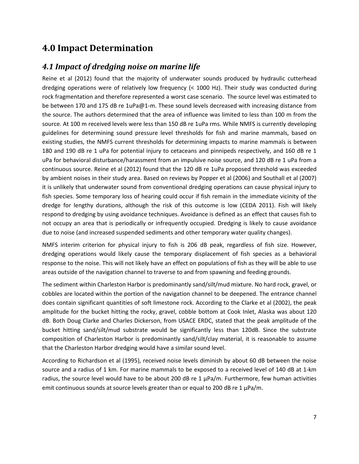## <span id="page-8-0"></span>**4.0 Impact Determination**

#### <span id="page-8-1"></span>*4.1 Impact of dredging noise on marine life*

Reine et al (2012) found that the majority of underwater sounds produced by hydraulic cutterhead dredging operations were of relatively low frequency (< 1000 Hz). Their study was conducted during rock fragmentation and therefore represented a worst case scenario. The source level was estimated to be between 170 and 175 dB re 1uPa@1-m. These sound levels decreased with increasing distance from the source. The authors determined that the area of influence was limited to less than 100 m from the source. At 100 m received levels were less than 150 dB re 1uPa rms. While NMFS is currently developing guidelines for determining sound pressure level thresholds for fish and marine mammals, based on existing studies, the NMFS current thresholds for determining impacts to marine mammals is between 180 and 190 dB re 1 uPa for potential injury to cetaceans and pinnipeds respectively, and 160 dB re 1 uPa for behavioral disturbance/harassment from an impulsive noise source, and 120 dB re 1 uPa from a continuous source. Reine et al (2012) found that the 120 dB re 1uPa proposed threshold was exceeded by ambient noises in their study area. Based on reviews by Popper et al (2006) and Southall et al (2007) it is unlikely that underwater sound from conventional dredging operations can cause physical injury to fish species. Some temporary loss of hearing could occur if fish remain in the immediate vicinity of the dredge for lengthy durations, although the risk of this outcome is low (CEDA 2011). Fish will likely respond to dredging by using avoidance techniques. Avoidance is defined as an effect that causes fish to not occupy an area that is periodically or infrequently occupied. Dredging is likely to cause avoidance due to noise (and increased suspended sediments and other temporary water quality changes).

NMFS interim criterion for physical injury to fish is 206 dB peak, regardless of fish size. However, dredging operations would likely cause the temporary displacement of fish species as a behavioral response to the noise. This will not likely have an effect on populations of fish as they will be able to use areas outside of the navigation channel to traverse to and from spawning and feeding grounds.

The sediment within Charleston Harbor is predominantly sand/silt/mud mixture. No hard rock, gravel, or cobbles are located within the portion of the navigation channel to be deepened. The entrance channel does contain significant quantities of soft limestone rock. According to the Clarke et al (2002), the peak amplitude for the bucket hitting the rocky, gravel, cobble bottom at Cook Inlet, Alaska was about 120 dB. Both Doug Clarke and Charles Dickerson, from USACE ERDC, stated that the peak amplitude of the bucket hitting sand/silt/mud substrate would be significantly less than 120dB. Since the substrate composition of Charleston Harbor is predominantly sand/silt/clay material, it is reasonable to assume that the Charleston Harbor dredging would have a similar sound level.

According to Richardson et al (1995), received noise levels diminish by about 60 dB between the noise source and a radius of 1 km. For marine mammals to be exposed to a received level of 140 dB at 1-km radius, the source level would have to be about 200 dB re  $1 \mu Pa/m$ . Furthermore, few human activities emit continuous sounds at source levels greater than or equal to 200 dB re 1  $\mu$ Pa/m.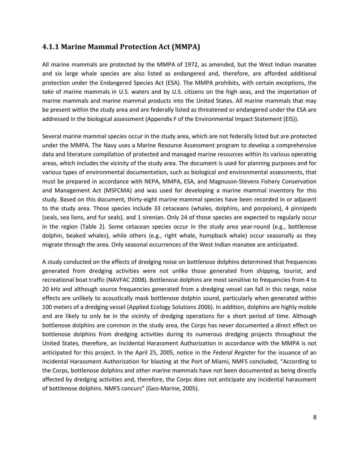#### <span id="page-9-0"></span>**4.1.1 Marine Mammal Protection Act (MMPA)**

All marine mammals are protected by the MMPA of 1972, as amended, but the West Indian manatee and six large whale species are also listed as endangered and, therefore, are afforded additional protection under the Endangered Species Act (ESA). The MMPA prohibits, with certain exceptions, the *take* of marine mammals in U.S. waters and by U.S. citizens on the high seas, and the importation of marine mammals and marine mammal products into the United States. All marine mammals that may be present within the study area and are federally listed as threatened or endangered under the ESA are addressed in the biological assessment (Appendix F of the Environmental Impact Statement (EIS)).

Several marine mammal species occur in the study area, which are not federally listed but are protected under the MMPA. The Navy uses a Marine Resource Assessment program to develop a comprehensive data and literature compilation of protected and managed marine resources within its various operating areas, which includes the vicinity of the study area. The document is used for planning purposes and for various types of environmental documentation, such as biological and environmental assessments, that must be prepared in accordance with NEPA, MMPA, ESA, and Magnuson-Stevens Fishery Conservation and Management Act (MSFCMA) and was used for developing a marine mammal inventory for this study. Based on this document, thirty-eight marine mammal species have been recorded in or adjacent to the study area. Those species include 33 cetaceans (whales, dolphins, and porpoises), 4 pinnipeds (seals, sea lions, and fur seals), and 1 sirenian. Only 24 of those species are expected to regularly occur in the region (Table 2). Some cetacean species occur in the study area year-round (e.g., bottlenose dolphin, beaked whales), while others (e.g., right whale, humpback whale) occur seasonally as they migrate through the area. Only seasonal occurrences of the West Indian manatee are anticipated.

A study conducted on the effects of dredging noise on bottlenose dolphins determined that frequencies generated from dredging activities were not unlike those generated from shipping, tourist, and recreational boat traffic (NAVFAC 2008). Bottlenose dolphins are most sensitive to frequencies from 4 to 20 kHz and although source frequencies generated from a dredging vessel can fall in this range, noise effects are unlikely to acoustically mask bottlenose dolphin sound, particularly when generated within 100 meters of a dredging vessel (Applied Ecology Solutions 2006). In addition, dolphins are highly mobile and are likely to only be in the vicinity of dredging operations for a short period of time. Although bottlenose dolphins are common in the study area, the Corps has never documented a direct effect on bottlenose dolphins from dredging activities during its numerous dredging projects throughout the United States, therefore, an Incidental Harassment Authorization in accordance with the MMPA is not anticipated for this project. In the April 25, 2005, notice in the *Federal Register* for the issuance of an Incidental Harassment Authorization for blasting at the Port of Miami, NMFS concluded, "According to the Corps, bottlenose dolphins and other marine mammals have not been documented as being directly affected by dredging activities and, therefore, the Corps does not anticipate any incidental harassment of bottlenose dolphins. NMFS concurs" (Geo-Marine, 2005).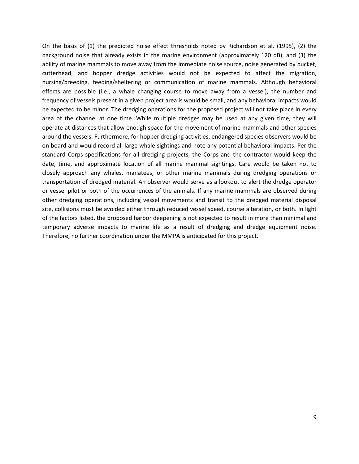On the basis of (1) the predicted noise effect thresholds noted by Richardson et al. (1995), (2) the background noise that already exists in the marine environment (approximately 120 dB), and (3) the ability of marine mammals to move away from the immediate noise source, noise generated by bucket, cutterhead, and hopper dredge activities would not be expected to affect the migration, nursing/breeding, feeding/sheltering or communication of marine mammals. Although behavioral effects are possible (i.e., a whale changing course to move away from a vessel), the number and frequency of vessels present in a given project area is would be small, and any behavioral impacts would be expected to be minor. The dredging operations for the proposed project will not take place in every area of the channel at one time. While multiple dredges may be used at any given time, they will operate at distances that allow enough space for the movement of marine mammals and other species around the vessels. Furthermore, for hopper dredging activities, endangered species observers would be on board and would record all large whale sightings and note any potential behavioral impacts. Per the standard Corps specifications for all dredging projects, the Corps and the contractor would keep the date, time, and approximate location of all marine mammal sightings. Care would be taken not to closely approach any whales, manatees, or other marine mammals during dredging operations or transportation of dredged material. An observer would serve as a lookout to alert the dredge operator or vessel pilot or both of the occurrences of the animals. If any marine mammals are observed during other dredging operations, including vessel movements and transit to the dredged material disposal site, collisions must be avoided either through reduced vessel speed, course alteration, or both. In light of the factors listed, the proposed harbor deepening is not expected to result in more than minimal and temporary adverse impacts to marine life as a result of dredging and dredge equipment noise. Therefore, no further coordination under the MMPA is anticipated for this project.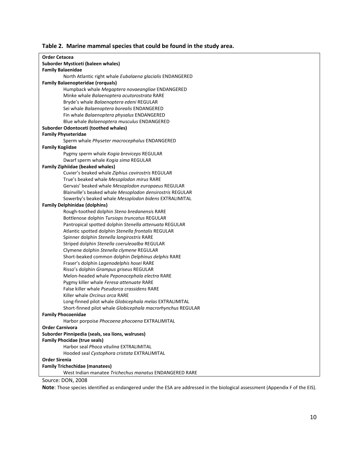|  |  |  | Table 2. Marine mammal species that could be found in the study area. |
|--|--|--|-----------------------------------------------------------------------|
|--|--|--|-----------------------------------------------------------------------|

| <b>Order Cetacea</b>                                        |
|-------------------------------------------------------------|
| Suborder Mysticeti (baleen whales)                          |
| <b>Family Balaenidae</b>                                    |
| North Atlantic right whale Eubalaena glacialis ENDANGERED   |
| <b>Family Balaenopteridae (rorquals)</b>                    |
| Humpback whale Megaptera novaeangliae ENDANGERED            |
| Minke whale Balaenoptera acutorostrata RARE                 |
| Bryde's whale Balaenoptera edeni REGULAR                    |
| Sei whale Balaenoptera borealis ENDANGERED                  |
| Fin whale Balaenoptera physalus ENDANGERED                  |
| Blue whale Balaenoptera musculus ENDANGERED                 |
| Suborder Odontoceti (toothed whales)                        |
| <b>Family Physeteridae</b>                                  |
| Sperm whale Physeter macrocephalus ENDANGERED               |
| <b>Family Kogiidae</b>                                      |
| Pygmy sperm whale Kogia breviceps REGULAR                   |
| Dwarf sperm whale Kogia sima REGULAR                        |
| <b>Family Ziphiidae (beaked whales)</b>                     |
| Cuvier's beaked whale Ziphius cavirostris REGULAR           |
| True's beaked whale Mesoplodon mirus RARE                   |
| Gervais' beaked whale Mesoplodon europaeus REGULAR          |
| Blainville's beaked whale Mesoplodon densirostris REGULAR   |
| Sowerby's beaked whale Mesoplodon bidens EXTRALIMITAL       |
| <b>Family Delphinidae (dolphins)</b>                        |
| Rough-toothed dolphin Steno bredanensis RARE                |
| Bottlenose dolphin Tursiops truncatus REGULAR               |
| Pantropical spotted dolphin Stenella attenuata REGULAR      |
| Atlantic spotted dolphin Stenella frontalis REGULAR         |
| Spinner dolphin Stenella longirostris RARE                  |
| Striped dolphin Stenella coeruleoalba REGULAR               |
| Clymene dolphin Stenella clymene REGULAR                    |
| Short-beaked common dolphin Delphinus delphis RARE          |
| Fraser's dolphin Lagenodelphis hosei RARE                   |
| Risso's dolphin Grampus griseus REGULAR                     |
| Melon-headed whale Peponocephala electra RARE               |
| Pygmy killer whale Feresa attenuate RARE                    |
| False killer whale Pseudorca crassidens RARE                |
| Killer whale Orcinus orca RARE                              |
| Long-finned pilot whale Globicephala melas EXTRALIMITAL     |
| Short-finned pilot whale Globicephala macrorhynchus REGULAR |
| <b>Family Phocoenidae</b>                                   |
| Harbor porpoise Phocoena phocoena EXTRALIMITAL              |
| <b>Order Carnivora</b>                                      |
| Suborder Pinnipedia (seals, sea lions, walruses)            |
| <b>Family Phocidae (true seals)</b>                         |
| Harbor seal Phoca vituling EXTRALIMITAL                     |
| Hooded seal Cystophora cristata EXTRALIMITAL                |
| <b>Order Sirenia</b>                                        |
| <b>Family Trichechidae (manatees)</b>                       |
| West Indian manatee Trichechus manatus ENDANGERED RARE      |
| $C_{011200}$ , $DON$ , $2000$                               |

Source: DON, 2008

**Note**: Those species identified as endangered under the ESA are addressed in the biological assessment (Appendix F of the EIS).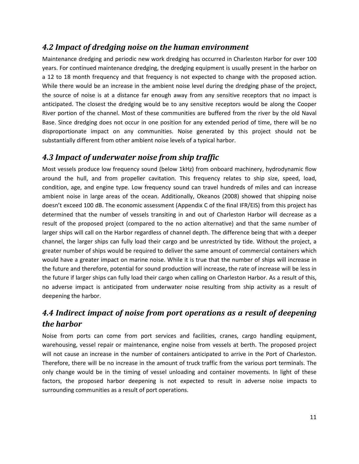#### <span id="page-12-0"></span>*4.2 Impact of dredging noise on the human environment*

Maintenance dredging and periodic new work dredging has occurred in Charleston Harbor for over 100 years. For continued maintenance dredging, the dredging equipment is usually present in the harbor on a 12 to 18 month frequency and that frequency is not expected to change with the proposed action. While there would be an increase in the ambient noise level during the dredging phase of the project, the source of noise is at a distance far enough away from any sensitive receptors that no impact is anticipated. The closest the dredging would be to any sensitive receptors would be along the Cooper River portion of the channel. Most of these communities are buffered from the river by the old Naval Base. Since dredging does not occur in one position for any extended period of time, there will be no disproportionate impact on any communities. Noise generated by this project should not be substantially different from other ambient noise levels of a typical harbor.

#### <span id="page-12-1"></span>*4.3 Impact of underwater noise from ship traffic*

Most vessels produce low frequency sound (below 1kHz) from onboard machinery, hydrodynamic flow around the hull, and from propeller cavitation. This frequency relates to ship size, speed, load, condition, age, and engine type. Low frequency sound can travel hundreds of miles and can increase ambient noise in large areas of the ocean. Additionally, Okeanos (2008) showed that shipping noise doesn't exceed 100 dB. The economic assessment (Appendix C of the final IFR/EIS) from this project has determined that the number of vessels transiting in and out of Charleston Harbor will decrease as a result of the proposed project (compared to the no action alternative) and that the same number of larger ships will call on the Harbor regardless of channel depth. The difference being that with a deeper channel, the larger ships can fully load their cargo and be unrestricted by tide. Without the project, a greater number of ships would be required to deliver the same amount of commercial containers which would have a greater impact on marine noise. While it is true that the number of ships will increase in the future and therefore, potential for sound production will increase, the rate of increase will be less in the future if larger ships can fully load their cargo when calling on Charleston Harbor. As a result of this, no adverse impact is anticipated from underwater noise resulting from ship activity as a result of deepening the harbor.

## <span id="page-12-2"></span>*4.4 Indirect impact of noise from port operations as a result of deepening the harbor*

Noise from ports can come from port services and facilities, cranes, cargo handling equipment, warehousing, vessel repair or maintenance, engine noise from vessels at berth. The proposed project will not cause an increase in the number of containers anticipated to arrive in the Port of Charleston. Therefore, there will be no increase in the amount of truck traffic from the various port terminals. The only change would be in the timing of vessel unloading and container movements. In light of these factors, the proposed harbor deepening is not expected to result in adverse noise impacts to surrounding communities as a result of port operations.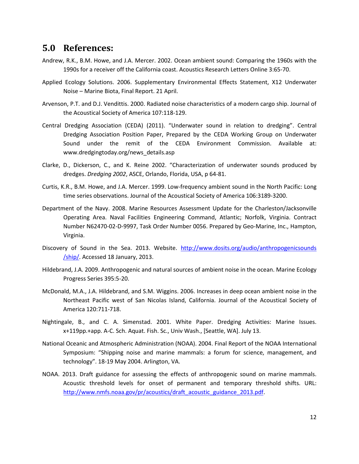#### <span id="page-13-0"></span>**5.0 References:**

- Andrew, R.K., B.M. Howe, and J.A. Mercer. 2002. Ocean ambient sound: Comparing the 1960s with the 1990s for a receiver off the California coast. Acoustics Research Letters Online 3:65-70.
- Applied Ecology Solutions. 2006. Supplementary Environmental Effects Statement, X12 Underwater Noise – Marine Biota, Final Report. 21 April.
- Arvenson, P.T. and D.J. Vendittis. 2000. Radiated noise characteristics of a modern cargo ship. Journal of the Acoustical Society of America 107:118-129.
- Central Dredging Association (CEDA) (2011). "Underwater sound in relation to dredging". Central Dredging Association Position Paper, Prepared by the CEDA Working Group on Underwater Sound under the remit of the CEDA Environment Commission. Available at: www.dredgingtoday.org/news\_details.asp
- Clarke, D., Dickerson, C., and K. Reine 2002. "Characterization of underwater sounds produced by dredges. *Dredging 2002*, ASCE, Orlando, Florida, USA, p 64-81.
- Curtis, K.R., B.M. Howe, and J.A. Mercer. 1999. Low-frequency ambient sound in the North Pacific: Long time series observations. Journal of the Acoustical Society of America 106:3189-3200.
- Department of the Navy. 2008. Marine Resources Assessment Update for the Charleston/Jacksonville Operating Area. Naval Facilities Engineering Command, Atlantic; Norfolk, Virginia. Contract Number N62470-02-D-9997, Task Order Number 0056. Prepared by Geo-Marine, Inc., Hampton, Virginia.
- Discovery of Sound in the Sea. 2013. Website. [http://www.dosits.org/audio/anthropogenicsounds](http://www.dosits.org/audio/anthropogenicsounds%0b/ship/) [/ship/.](http://www.dosits.org/audio/anthropogenicsounds%0b/ship/) Accessed 18 January, 2013.
- Hildebrand, J.A. 2009. Anthropogenic and natural sources of ambient noise in the ocean. Marine Ecology Progress Series 395:5-20.
- McDonald, M.A., J.A. Hildebrand, and S.M. Wiggins. 2006. Increases in deep ocean ambient noise in the Northeast Pacific west of San Nicolas Island, California. Journal of the Acoustical Society of America 120:711-718.
- Nightingale, B., and C. A. Simenstad. 2001. White Paper. Dredging Activities: Marine Issues. x+119pp.+app. A-C. Sch. Aquat. Fish. Sc., Univ Wash., [Seattle, WA]. July 13.
- National Oceanic and Atmospheric Administration (NOAA). 2004. Final Report of the NOAA International Symposium: "Shipping noise and marine mammals: a forum for science, management, and technology". 18-19 May 2004. Arlington, VA.
- NOAA. 2013. Draft guidance for assessing the effects of anthropogenic sound on marine mammals. Acoustic threshold levels for onset of permanent and temporary threshold shifts. URL: [http://www.nmfs.noaa.gov/pr/acoustics/draft\\_acoustic\\_guidance\\_2013.pdf.](http://www.nmfs.noaa.gov/pr/acoustics/draft_acoustic_guidance_2013.pdf)